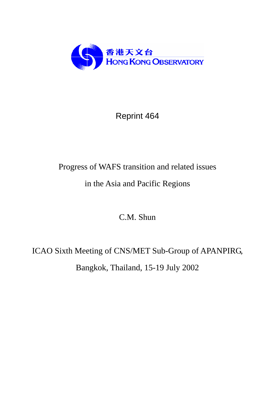

# Reprint 464

# Progress of WAFS transition and related issues

# in the Asia and Pacific Regions

C.M. Shun

# ICAO Sixth Meeting of CNS/MET Sub-Group of APANPIRG, Bangkok, Thailand, 15-19 July 2002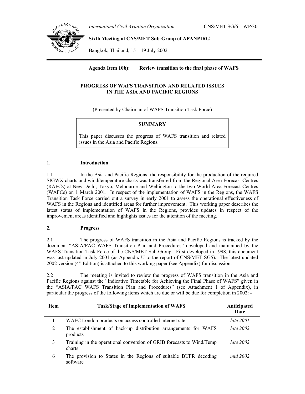*International Civil Aviation Organization* CNS/MET SG/6 – WP/30



**Sixth Meeting of CNS/MET Sub-Group of APANPIRG**

Bangkok, Thailand, 15 – 19 July 2002

# **Agenda Item 10b): Review transition to the final phase of WAFS**

# **PROGRESS OF WAFS TRANSITION AND RELATED ISSUES IN THE ASIA AND PACIFIC REGIONS**

(Presented by Chairman of WAFS Transition Task Force)

# **SUMMARY**

This paper discusses the progress of WAFS transition and related issues in the Asia and Pacific Regions.

### 1. **Introduction**

1.1 In the Asia and Pacific Regions, the responsibility for the production of the required SIGWX charts and wind/temperature charts was transferred from the Regional Area Forecast Centres (RAFCs) at New Delhi, Tokyo, Melbourne and Wellington to the two World Area Forecast Centres (WAFCs) on 1 March 2001. In respect of the implementation of WAFS in the Regions, the WAFS Transition Task Force carried out a survey in early 2001 to assess the operational effectiveness of WAFS in the Regions and identified areas for further improvement. This working paper describes the latest status of implementation of WAFS in the Regions, provides updates in respect of the improvement areas identified and highlights issues for the attention of the meeting.

# **2. Progress**

2.1 The progress of WAFS transition in the Asia and Pacific Regions is tracked by the document "ASIA/PAC WAFS Transition Plan and Procedures" developed and maintained by the WAFS Transition Task Force of the CNS/MET Sub-Group. First developed in 1998, this document was last updated in July 2001 (as Appendix U to the report of CNS/MET SG5). The latest updated 2002 version  $(4<sup>th</sup> Edition)$  is attached to this working paper (see Appendix) for discussion.

2.2 The meeting is invited to review the progress of WAFS transition in the Asia and Pacific Regions against the "Indicative Timetable for Achieving the Final Phase of WAFS" given in the "ASIA/PAC WAFS Transition Plan and Procedures" (see Attachment 1 of Appendix), in particular the progress of the following items which are due or will be due for completion in 2002: -

| <b>Item</b> | <b>Task/Stage of Implementation of WAFS</b>                                     | Anticipated<br>Date |
|-------------|---------------------------------------------------------------------------------|---------------------|
|             | WAFC London products on access controlled internet site                         | <i>late</i> 2001    |
| 2           | The establishment of back-up distribution arrangements for WAFS<br>products     | late $2002$         |
| 3           | Training in the operational conversion of GRIB forecasts to Wind/Temp<br>charts | late $2002$         |
| 6           | The provision to States in the Regions of suitable BUFR decoding<br>software    | mid 2002            |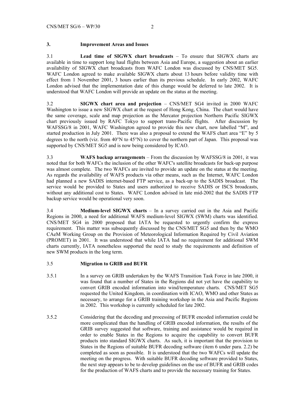# **3. Improvement Areas and Issues**

3.1 **Lead time of SIGWX chart broadcasts** – To ensure that SIGWX charts are available in time to support long haul flights between Asia and Europe, a suggestion about an earlier availability of SIGWX chart broadcasts from WAFC London was discussed by CNS/MET SG5. WAFC London agreed to make available SIGWX charts about 13 hours before validity time with effect from 1 November 2001, 3 hours earlier than its previous schedule. In early 2002, WAFC London advised that the implementation date of this change would be deferred to late 2002. It is understood that WAFC London will provide an update on the status at the meeting.

3.2 **SIGWX chart area and projection** – CNS/MET SG4 invited in 2000 WAFC Washington to issue a new SIGWX chart at the request of Hong Kong, China. The chart would have the same coverage, scale and map projection as the Mercator projection Northern Pacific SIGWX chart previously issued by RAFC Tokyo to support trans-Pacific flights. After discussion by WAFSSG/8 in 2001, WAFC Washington agreed to provide this new chart, now labelled "M", and started production in July 2001. There was also a proposal to extend the WAFS chart area "E" by 5 degrees to the north (viz. from  $40^{\circ}$ N to  $45^{\circ}$ N) to cover the northern part of Japan. This proposal was supported by CNS/MET SG5 and is now being considered by ICAO.

3.3 **WAFS backup arrangements** – From the discussion by WAFSSG/8 in 2001, it was noted that for both WAFCs the inclusion of the other WAFC's satellite broadcasts for back-up purpose was almost complete. The two WAFCs are invited to provide an update on the status at the meeting. As regards the availability of WAFS products via other means, such as the Internet, WAFC London had planned a new SADIS internet-based FTP service, as a back-up to the SADIS broadcast. The service would be provided to States and users authorized to receive SADIS or ISCS broadcasts, without any additional cost to States. WAFC London advised in late mid-2002 that the SADIS FTP backup service would be operational very soon.

3.4 **Medium-level SIGWX charts** – In a survey carried out in the Asia and Pacific Regions in 2000, a need for additional WAFS medium-level SIGWX (SWM) charts was identified. CNS/MET SG4 in 2000 proposed that IATA be requested to urgently confirm the express requirement. This matter was subsequently discussed by the CNS/MET SG5 and then by the WMO CAeM Working Group on the Provision of Meteorological Information Required by Civil Aviation (PROMET) in 2001. It was understood that while IATA had no requirement for additional SWM charts currently, IATA nonetheless supported the need to study the requirements and definition of new SWM products in the long term.

# 3.5 **Migration to GRIB and BUFR**

- 3.5.1 In a survey on GRIB undertaken by the WAFS Transition Task Force in late 2000, it was found that a number of States in the Regions did not yet have the capability to convert GRIB encoded information into wind/temperature charts. CNS/MET SG5 requested the United Kingdom, in coordination with ICAO, WMO and other States as necessary, to arrange for a GRIB training workshop in the Asia and Pacific Regions in 2002. This workshop is currently scheduled for late 2002.
- 3.5.2 Considering that the decoding and processing of BUFR encoded information could be more complicated than the handling of GRIB encoded information, the results of the GRIB survey suggested that software, training and assistance would be required in order to enable States in the Regions to acquire the capability to convert BUFR products into standard SIGWX charts. As such, it is important that the provision to States in the Regions of suitable BUFR decoding software (item 6 under para. 2.2) be completed as soon as possible. It is understood that the two WAFCs will update the meeting on the progress. With suitable BUFR decoding software provided to States, the next step appears to be to develop guidelines on the use of BUFR and GRIB codes for the production of WAFS charts and to provide the necessary training for States.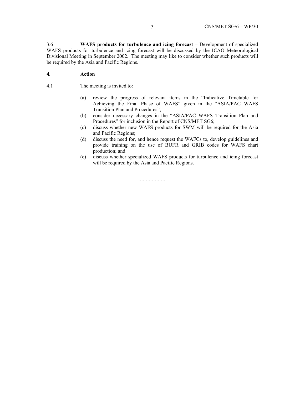3.6 **WAFS products for turbulence and icing forecast** – Development of specialized WAFS products for turbulence and icing forecast will be discussed by the ICAO Meteorological Divisional Meeting in September 2002. The meeting may like to consider whether such products will be required by the Asia and Pacific Regions.

# **4. Action**

- 4.1 The meeting is invited to:
	- (a) review the progress of relevant items in the "Indicative Timetable for Achieving the Final Phase of WAFS" given in the "ASIA/PAC WAFS Transition Plan and Procedures";
	- (b) consider necessary changes in the "ASIA/PAC WAFS Transition Plan and Procedures" for inclusion in the Report of CNS/MET SG6;
	- (c) discuss whether new WAFS products for SWM will be required for the Asia and Pacific Regions;
	- (d) discuss the need for, and hence request the WAFCs to, develop guidelines and provide training on the use of BUFR and GRIB codes for WAFS chart production; and
	- (e) discuss whether specialized WAFS products for turbulence and icing forecast will be required by the Asia and Pacific Regions.

- - - - - - - - -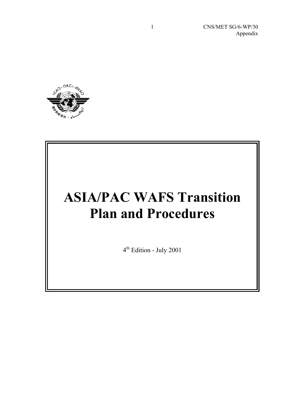CNS/MET SG/6-WP/30 Appendix



# **ASIA/PAC WAFS Transition Plan and Procedures**

4th Edition - July 2001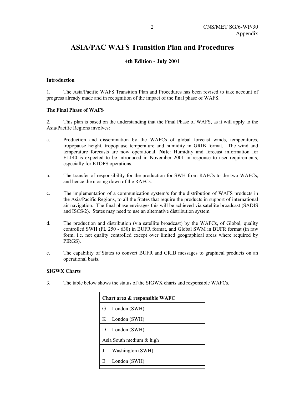# **ASIA/PAC WAFS Transition Plan and Procedures**

# **4th Edition - July 2001**

# **Introduction**

1. The Asia/Pacific WAFS Transition Plan and Procedures has been revised to take account of progress already made and in recognition of the impact of the final phase of WAFS.

# **The Final Phase of WAFS**

2. This plan is based on the understanding that the Final Phase of WAFS, as it will apply to the Asia/Pacific Regions involves:

- a. Production and dissemination by the WAFCs of global forecast winds, temperatures, tropopause height, tropopause temperature and humidity in GRIB format. The wind and temperature forecasts are now operational. **Note**: Humidity and forecast information for FL140 is expected to be introduced in November 2001 in response to user requirements, especially for ETOPS operations.
- b. The transfer of responsibility for the production for SWH from RAFCs to the two WAFCs, and hence the closing down of the RAFCs.
- c. The implementation of a communication system/s for the distribution of WAFS products in the Asia/Pacific Regions, to all the States that require the products in support of international air navigation. The final phase envisages this will be achieved via satellite broadcast (SADIS and ISCS/2). States may need to use an alternative distribution system.
- d. The production and distribution (via satellite broadcast) by the WAFCs, of Global, quality controlled SWH (FL 250 - 630) in BUFR format, and Global SWM in BUFR format (in raw form, i.e. not quality controlled except over limited geographical areas where required by PIRGS).
- e. The capability of States to convert BUFR and GRIB messages to graphical products on an operational basis.

# **SIGWX Charts**

3. The table below shows the status of the SIGWX charts and responsible WAFCs.

| Chart area & responsible WAFC |  |  |
|-------------------------------|--|--|
| London (SWH)<br>G             |  |  |
| K London (SWH)                |  |  |
| London (SWH)<br>D             |  |  |
| Asia South medium & high      |  |  |
| Washington (SWH)<br>J         |  |  |
| London (SWH)<br>E             |  |  |
|                               |  |  |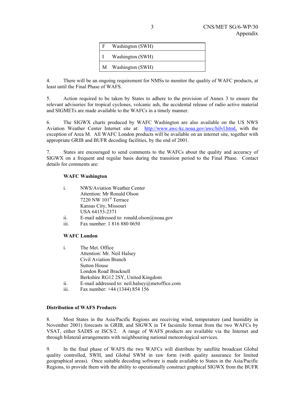| Washington (SWH)   |
|--------------------|
| Washington (SWH)   |
| M Washington (SWH) |

4. There will be an ongoing requirement for NMSs to monitor the quality of WAFC products, at least until the Final Phase of WAFS.

5. Action required to be taken by States to adhere to the provision of Annex 3 to ensure the relevant advisories for tropical cyclones, volcanic ash, the accidental release of radio active material and SIGMETs are made available to the WAFCs in a timely manner.

6. The SIGWX charts produced by WAFC Washington are also available on the US NWS Aviation Weather Center Internet site at: http://www.awc-kc.noaa.gov/awc/hilvl.html, with the exception of Area M. All WAFC London products will be available on an internet site, together with appropriate GRIB and BUFR decoding facilities, by the end of 2001.

7. States are encouraged to send comments to the WAFCs about the quality and accuracy of SIGWX on a frequent and regular basis during the transition period to the Final Phase. Contact details for comments are:

# **WAFC Washington**

| $\mathbf{i}$ | NWS/Aviation Weather Center       |
|--------------|-----------------------------------|
|              | Attention: Mr Ronald Olson        |
|              | 7220 NW 101 <sup>st</sup> Terrace |
|              | Kansas City, Missouri             |
|              | USA 64153-2371                    |
|              |                                   |

- ii. E-mail addressed to: ronald.olson@noaa.gov
- iii. Fax number: 1 816 880 0650

# **WAFC London**

- i. The Met. Office Attention: Mr. Neil Halsey Civil Aviation Branch Sutton House London Road<sup>,</sup> Bracknell Berkshire RG12 2SY, United Kingdom ii. E-mail addressed to: neil.halsey@metoffice.com
- iii. Fax number: +44 (1344) 854 156

# **Distribution of WAFS Products**

8. Most States in the Asia/Pacific Regions are receiving wind, temperature (and humidity in November 2001) forecasts in GRIB, and SIGWX in T4 facsimile format from the two WAFCs by VSAT, either SADIS or ISCS/2. A range of WAFS products are available via the Internet and through bilateral arrangements with neighbouring national meteorological services.

9. In the final phase of WAFS the two WAFCs will distribute by satellite broadcast Global quality controlled, SWH, and Global SWM in raw form (with quality assurance for limited geographical areas). Once suitable decoding software is made available to States in the Asia/Pacific Regions, to provide them with the ability to operationally construct graphical SIGWX from the BUFR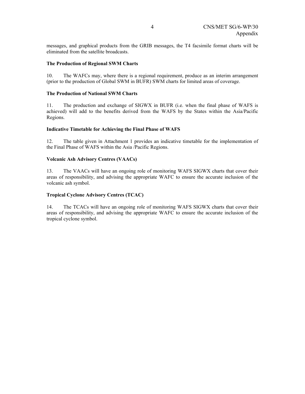messages, and graphical products from the GRIB messages, the T4 facsimile format charts will be eliminated from the satellite broadcasts.

# **The Production of Regional SWM Charts**

10. The WAFCs may, where there is a regional requirement, produce as an interim arrangement (prior to the production of Global SWM in BUFR) SWM charts for limited areas of coverage.

### **The Production of National SWM Charts**

11. The production and exchange of SIGWX in BUFR (i.e. when the final phase of WAFS is achieved) will add to the benefits derived from the WAFS by the States within the Asia/Pacific Regions.

# **Indicative Timetable for Achieving the Final Phase of WAFS**

12. The table given in Attachment 1 provides an indicative timetable for the implementation of the Final Phase of WAFS within the Asia /Pacific Regions.

### **Volcanic Ash Advisory Centres (VAACs)**

13. The VAACs will have an ongoing role of monitoring WAFS SIGWX charts that cover their areas of responsibility, and advising the appropriate WAFC to ensure the accurate inclusion of the volcanic ash symbol.

# **Tropical Cyclone Advisory Centres (TCAC)**

14. The TCACs will have an ongoing role of monitoring WAFS SIGWX charts that cover their areas of responsibility, and advising the appropriate WAFC to ensure the accurate inclusion of the tropical cyclone symbol.